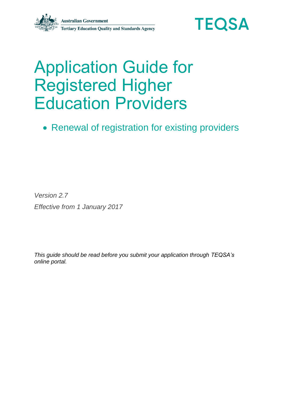

# Application Guide for Registered Higher Education Providers

• Renewal of registration for existing providers

*Version 2.7 Effective from 1 January 2017*

*This guide should be read before you submit your application through TEQSA's online portal.*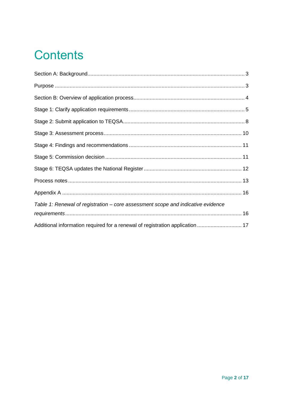## **Contents**

<span id="page-1-0"></span>

| Table 1: Renewal of registration – core assessment scope and indicative evidence |  |
|----------------------------------------------------------------------------------|--|
|                                                                                  |  |
| Additional information required for a renewal of registration application  17    |  |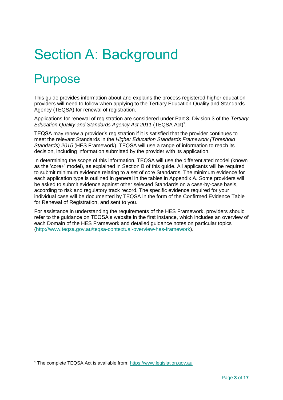# Section A: Background

### <span id="page-2-0"></span>**Purpose**

-

This guide provides information about and explains the process registered higher education providers will need to follow when applying to the Tertiary Education Quality and Standards Agency (TEQSA) for renewal of registration.

Applications for renewal of registration are considered under Part 3, Division 3 of the *Tertiary*  Education Quality and Standards Agency Act 2011 (TEQSA Act)<sup>1</sup>.

TEQSA may renew a provider's registration if it is satisfied that the provider continues to meet the relevant Standards in the *Higher Education Standards Framework (Threshold Standards) 2015* (HES Framework). TEQSA will use a range of information to reach its decision, including information submitted by the provider with its application.

In determining the scope of this information, TEQSA will use the differentiated model (known as the 'core+' model), as explained in Section B of this guide. All applicants will be required to submit minimum evidence relating to a set of core Standards. The minimum evidence for each application type is outlined in general in the tables in Appendix A. Some providers will be asked to submit evidence against other selected Standards on a case-by-case basis, according to risk and regulatory track record. The specific evidence required for your individual case will be documented by TEQSA in the form of the Confirmed Evidence Table for Renewal of Registration, and sent to you.

For assistance in understanding the requirements of the HES Framework, providers should refer to the guidance on TEQSA's website in the first instance, which includes an overview of each Domain of the HES Framework and detailed guidance notes on particular topics [\(http://www.teqsa.gov.au/teqsa-contextual-overview-hes-framework\)](http://www.teqsa.gov.au/teqsa-contextual-overview-hes-framework).

<sup>1</sup> The complete TEQSA Act is available from: [https://www.legislation.gov.au](https://www.legislation.gov.au/Details/C2016C00888)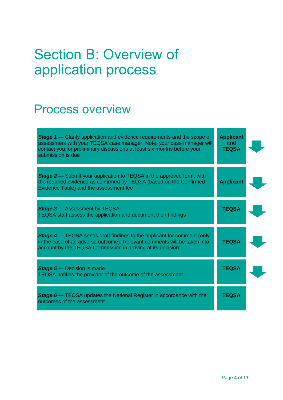# <span id="page-3-0"></span>Section B: Overview of application process

### Process overview

| <b>Stage 1</b> - Clarify application and evidence requirements and the scope of<br>assessment with your TEQSA case manager. Note: your case manager will<br>contact you for preliminary discussions at least six months before your<br>submission is due | <b>Applicant</b><br>and<br><b>TEQSA</b> |  |
|----------------------------------------------------------------------------------------------------------------------------------------------------------------------------------------------------------------------------------------------------------|-----------------------------------------|--|
| <b>Stage 2</b> — Submit your application to TEQSA in the approved form, with<br>the required evidence as confirmed by TEQSA (based on the Confirmed<br>Evidence Table) and the assessment fee                                                            | <b>Applicant</b>                        |  |
| <b>Stage 3</b> - Assessment by TEQSA<br>TEQSA staff assess the application and document their findings                                                                                                                                                   | <b>TEQSA</b>                            |  |
| <b>Stage 4</b> — TEQSA sends draft findings to the applicant for comment (only<br>in the case of an adverse outcome). Relevant comments will be taken into<br>account by the TEQSA Commission in arriving at its decision                                | <b>TEQSA</b>                            |  |
| <b>Stage 5</b> - Decision is made<br>TEQSA notifies the provider of the outcome of the assessment                                                                                                                                                        | <b>TEQSA</b>                            |  |
| <b>Stage 6</b> - TEQSA updates the National Register in accordance with the<br>outcomes of the assessment                                                                                                                                                | <b>TEQSA</b>                            |  |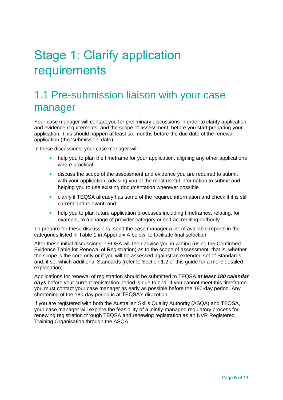## <span id="page-4-0"></span>Stage 1: Clarify application requirements

#### 1.1 Pre-submission liaison with your case manager

Your case manager will contact you for preliminary discussions in order to clarify application and evidence requirements, and the scope of assessment, before you start preparing your application. This should happen at least six months before the due date of the renewal application (the 'submission' date).

In these discussions, your case manager will:

- help you to plan the timeframe for your application, aligning any other applications where practical
- discuss the scope of the assessment and evidence you are required to submit with your application, advising you of the most useful information to submit and helping you to use existing documentation wherever possible
- clarify if TEQSA already has some of the required information and check if it is still current and relevant, and
- help you to plan future application processes including timeframes, relating, for example, to a change of provider category or self-accrediting authority.

To prepare for these discussions, send the case manager a list of available reports in the categories listed in Table 1 in Appendix A below, to facilitate final selection.

After these initial discussions, TEQSA will then advise you in writing (using the Confirmed Evidence Table for Renewal of Registration) as to the scope of assessment, that is, whether the scope is the core only or if you will be assessed against an extended set of Standards, and, if so, which additional Standards (refer to Section 1.2 of this guide for a more detailed explanation).

Applications for renewal of registration should be submitted to TEQSA *at least 180 calendar*  days before your current registration period is due to end. If you cannot meet this timeframe you must contact your case manager as early as possible before the 180-day period. Any shortening of the 180-day period is at TEQSA's discretion.

If you are registered with both the Australian Skills Quality Authority (ASQA) and TEQSA, your case manager will explore the feasibility of a jointly-managed regulatory process for renewing registration through TEQSA and renewing registration as an NVR Registered Training Organisation through the ASQA.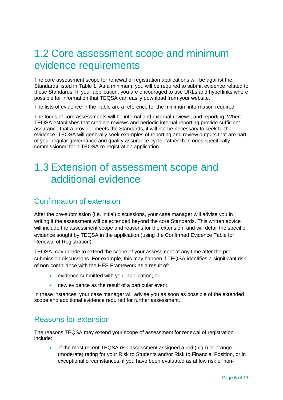#### 1.2 Core assessment scope and minimum evidence requirements

The core assessment scope for renewal of registration applications will be against the Standards listed in Table 1. As a minimum, you will be required to submit evidence related to these Standards. In your application, you are encouraged to use URLs and hyperlinks where possible for information that TEQSA can easily download from your website.

The lists of evidence in the Table are a reference for the minimum information required.

The focus of core assessments will be internal and external reviews, and reporting. Where TEQSA establishes that credible reviews and periodic internal reporting provide sufficient assurance that a provider meets the Standards, it will not be necessary to seek further evidence. TEQSA will generally seek examples of reporting and review outputs that are part of your regular governance and quality assurance cycle, rather than ones specifically commissioned for a TEQSA re-registration application.

#### 1.3 Extension of assessment scope and additional evidence

#### Confirmation of extension

After the pre-submission (i.e. initial) discussions, your case manager will advise you in writing if the assessment will be extended beyond the core Standards. This written advice will include the assessment scope and reasons for the extension, and will detail the specific evidence sought by TEQSA in the application (using the Confirmed Evidence Table for Renewal of Registration).

TEQSA may decide to extend the scope of your assessment at any time after the presubmission discussions. For example, this may happen if TEQSA identifies a significant risk of non-compliance with the HES Framework as a result of:

- evidence submitted with your application, or
- new evidence as the result of a particular event.

In these instances, your case manager will advise you as soon as possible of the extended scope and additional evidence required for further assessment.

#### Reasons for extension

The reasons TEQSA may extend your scope of assessment for renewal of registration include:

 if the most recent TEQSA risk assessment assigned a red (high) or orange (moderate) rating for your Risk to Students and/or Risk to Financial Position, or in exceptional circumstances, if you have been evaluated as at low risk of non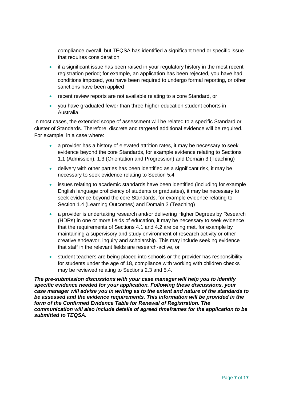compliance overall, but TEQSA has identified a significant trend or specific issue that requires consideration

- if a significant issue has been raised in your regulatory history in the most recent registration period; for example, an application has been rejected, you have had conditions imposed, you have been required to undergo formal reporting, or other sanctions have been applied
- recent review reports are not available relating to a core Standard, or
- you have graduated fewer than three higher education student cohorts in Australia.

In most cases, the extended scope of assessment will be related to a specific Standard or cluster of Standards. Therefore, discrete and targeted additional evidence will be required. For example, in a case where:

- a provider has a history of elevated attrition rates, it may be necessary to seek evidence beyond the core Standards, for example evidence relating to Sections 1.1 (Admission), 1.3 (Orientation and Progression) and Domain 3 (Teaching)
- delivery with other parties has been identified as a significant risk, it may be necessary to seek evidence relating to Section 5.4
- issues relating to academic standards have been identified (including for example English language proficiency of students or graduates), it may be necessary to seek evidence beyond the core Standards, for example evidence relating to Section 1.4 (Learning Outcomes) and Domain 3 (Teaching)
- a provider is undertaking research and/or delivering Higher Degrees by Research (HDRs) in one or more fields of education, it may be necessary to seek evidence that the requirements of Sections 4.1 and 4.2 are being met, for example by maintaining a supervisory and study environment of research activity or other creative endeavor, inquiry and scholarship. This may include seeking evidence that staff in the relevant fields are research-active, or
- student teachers are being placed into schools or the provider has responsibility for students under the age of 18, compliance with working with children checks may be reviewed relating to Sections 2.3 and 5.4.

*The pre-submission discussions with your case manager will help you to identify specific evidence needed for your application. Following these discussions, your case manager will advise you in writing as to the extent and nature of the standards to be assessed and the evidence requirements. This information will be provided in the form of the Confirmed Evidence Table for Renewal of Registration. The communication will also include details of agreed timeframes for the application to be submitted to TEQSA.*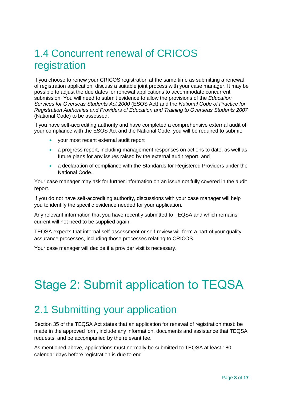### 1.4 Concurrent renewal of CRICOS registration

If you choose to renew your CRICOS registration at the same time as submitting a renewal of registration application, discuss a suitable joint process with your case manager. It may be possible to adjust the due dates for renewal applications to accommodate concurrent submission. You will need to submit evidence to allow the provisions of the *Education Services for Overseas Students Act 2000* (ESOS Act) and the *National Code of Practice for Registration Authorities and Providers of Education and Training to Overseas Students 2007* (National Code) to be assessed.

If you have self-accrediting authority and have completed a comprehensive external audit of your compliance with the ESOS Act and the National Code, you will be required to submit:

- your most recent external audit report
- a progress report, including management responses on actions to date, as well as future plans for any issues raised by the external audit report, and
- a declaration of compliance with the Standards for Registered Providers under the National Code.

Your case manager may ask for further information on an issue not fully covered in the audit report.

If you do not have self-accrediting authority, discussions with your case manager will help you to identify the specific evidence needed for your application.

Any relevant information that you have recently submitted to TEQSA and which remains current will not need to be supplied again.

TEQSA expects that internal self-assessment or self-review will form a part of your quality assurance processes, including those processes relating to CRICOS.

Your case manager will decide if a provider visit is necessary.

## <span id="page-7-0"></span>Stage 2: Submit application to TEQSA

#### 2.1 Submitting your application

Section 35 of the TEQSA Act states that an application for renewal of registration must: be made in the approved form, include any information, documents and assistance that TEQSA requests, and be accompanied by the relevant fee.

As mentioned above, applications must normally be submitted to TEQSA at least 180 calendar days before registration is due to end.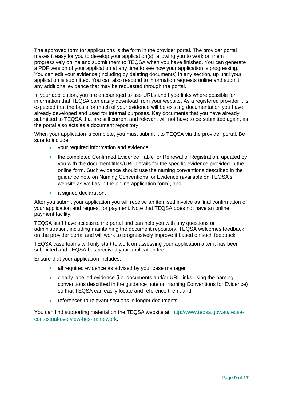The approved form for applications is the form in the provider portal. The provider portal makes it easy for you to develop your application(s), allowing you to work on them progressively online and submit them to TEQSA when you have finished. You can generate a PDF version of your application at any time to see how your application is progressing. You can edit your evidence (including by deleting documents) in any section, up until your application is submitted. You can also respond to information requests online and submit any additional evidence that may be requested through the portal.

In your application, you are encouraged to use URLs and hyperlinks where possible for information that TEQSA can easily download from your website. As a registered provider it is expected that the basis for much of your evidence will be existing documentation you have already developed and used for internal purposes. Key documents that you have already submitted to TEQSA that are still current and relevant will not have to be submitted again, as the portal also acts as a document repository.

When your application is complete, you must submit it to TEQSA via the provider portal. Be sure to include:

- your required information and evidence
- the completed Confirmed Evidence Table for Renewal of Registration, updated by you with the document titles/URL details for the specific evidence provided in the online form. Such evidence should use the naming conventions described in the guidance note on Naming Conventions for Evidence (available on TEQSA's website as well as in the online application form), and
- a signed declaration.

After you submit your application you will receive an itemised invoice as final confirmation of your application and request for payment. Note that TEQSA does not have an online payment facility.

TEQSA staff have access to the portal and can help you with any questions or administration, including maintaining the document repository. TEQSA welcomes feedback on the provider portal and will work to progressively improve it based on such feedback.

TEQSA case teams will only start to work on assessing your application after it has been submitted and TEQSA has received your application fee.

Ensure that your application includes:

- all required evidence as advised by your case manager
- clearly labelled evidence (i.e. documents and/or URL links using the naming conventions described in the guidance note on Naming Conventions for Evidence) so that TEQSA can easily locate and reference them, and
- references to relevant sections in longer documents.

You can find supporting material on the TEQSA website at: [http://www.teqsa.gov.au/teqsa](http://www.teqsa.gov.au/teqsa-contextual-overview-hes-framework)[contextual-overview-hes-framework.](http://www.teqsa.gov.au/teqsa-contextual-overview-hes-framework)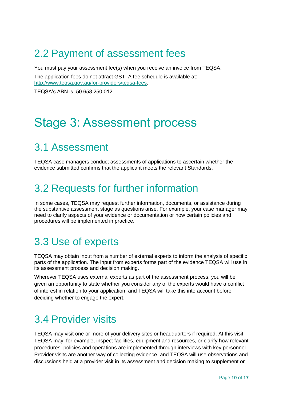### 2.2 Payment of assessment fees

You must pay your assessment fee(s) when you receive an invoice from TEQSA.

The application fees do not attract GST. A fee schedule is available at: [http://www.teqsa.gov.au/for-providers/teqsa-fees.](http://www.teqsa.gov.au/for-providers/teqsa-fees)

TEQSA's ABN is: 50 658 250 012.

### <span id="page-9-0"></span>Stage 3: Assessment process

### 3.1 Assessment

TEQSA case managers conduct assessments of applications to ascertain whether the evidence submitted confirms that the applicant meets the relevant Standards.

#### 3.2 Requests for further information

In some cases, TEQSA may request further information, documents, or assistance during the substantive assessment stage as questions arise. For example, your case manager may need to clarify aspects of your evidence or documentation or how certain policies and procedures will be implemented in practice.

#### 3.3 Use of experts

TEQSA may obtain input from a number of external experts to inform the analysis of specific parts of the application. The input from experts forms part of the evidence TEQSA will use in its assessment process and decision making.

Wherever TEQSA uses external experts as part of the assessment process, you will be given an opportunity to state whether you consider any of the experts would have a conflict of interest in relation to your application, and TEQSA will take this into account before deciding whether to engage the expert.

#### 3.4 Provider visits

TEQSA may visit one or more of your delivery sites or headquarters if required. At this visit, TEQSA may, for example, inspect facilities, equipment and resources, or clarify how relevant procedures, policies and operations are implemented through interviews with key personnel. Provider visits are another way of collecting evidence, and TEQSA will use observations and discussions held at a provider visit in its assessment and decision making to supplement or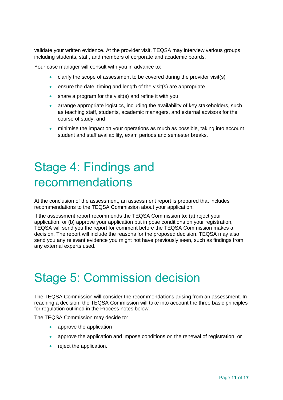validate your written evidence. At the provider visit, TEQSA may interview various groups including students, staff, and members of corporate and academic boards.

Your case manager will consult with you in advance to:

- clarify the scope of assessment to be covered during the provider visit(s)
- $\bullet$  ensure the date, timing and length of the visit(s) are appropriate
- share a program for the visit(s) and refine it with you
- arrange appropriate logistics, including the availability of key stakeholders, such as teaching staff, students, academic managers, and external advisors for the course of study, and
- minimise the impact on your operations as much as possible, taking into account student and staff availability, exam periods and semester breaks.

## <span id="page-10-0"></span>Stage 4: Findings and recommendations

At the conclusion of the assessment, an assessment report is prepared that includes recommendations to the TEQSA Commission about your application.

If the assessment report recommends the TEQSA Commission to: (a) reject your application, or (b) approve your application but impose conditions on your registration, TEQSA will send you the report for comment before the TEQSA Commission makes a decision. The report will include the reasons for the proposed decision. TEQSA may also send you any relevant evidence you might not have previously seen, such as findings from any external experts used.

### <span id="page-10-1"></span>Stage 5: Commission decision

The TEQSA Commission will consider the recommendations arising from an assessment. In reaching a decision, the TEQSA Commission will take into account the three basic principles for regulation outlined in the Process notes below.

The TEQSA Commission may decide to:

- approve the application
- approve the application and impose conditions on the renewal of registration, or
- reject the application.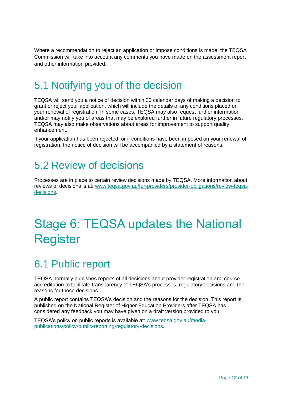Where a recommendation to reject an application or impose conditions is made, the TEQSA Commission will take into account any comments you have made on the assessment report and other information provided.

### 5.1 Notifying you of the decision

TEQSA will send you a notice of decision within 30 calendar days of making a decision to grant or reject your application, which will include the details of any conditions placed on your renewal of registration. In some cases, TEQSA may also request further information and/or may notify you of areas that may be explored further in future regulatory processes. TEQSA may also make observations about areas for improvement to support quality enhancement.

If your application has been rejected, or if conditions have been imposed on your renewal of registration, the notice of decision will be accompanied by a statement of reasons.

#### 5.2 Review of decisions

Processes are in place to certain review decisions made by TEQSA. More information about reviews of decisions is at: [www.teqsa.gov.au/for-providers/provider-obligations/review-teqsa](http://www.teqsa.gov.au/for-providers/provider-obligations/review-teqsa-decisions)[decisions.](http://www.teqsa.gov.au/for-providers/provider-obligations/review-teqsa-decisions)

## <span id="page-11-0"></span>Stage 6: TEQSA updates the National Register

### 6.1 Public report

TEQSA normally publishes reports of all decisions about provider registration and course accreditation to facilitate transparency of TEQSA's processes, regulatory decisions and the reasons for those decisions.

A public report contains TEQSA's decision and the reasons for the decision. This report is published on the National Register of Higher Education Providers after TEQSA has considered any feedback you may have given on a draft version provided to you.

TEQSA's policy on public reports is available at: [www.teqsa.gov.au/media](http://www.teqsa.gov.au/media-publications/policy-public-reporting-regulatory-decisions)[publications/policy-public-reporting-regulatory-decisions.](http://www.teqsa.gov.au/media-publications/policy-public-reporting-regulatory-decisions)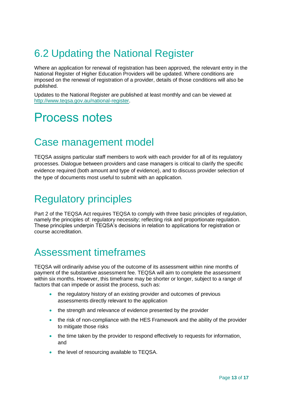### 6.2 Updating the National Register

Where an application for renewal of registration has been approved, the relevant entry in the National Register of Higher Education Providers will be updated. Where conditions are imposed on the renewal of registration of a provider, details of those conditions will also be published.

Updates to the National Register are published at least monthly and can be viewed at [http://www.teqsa.gov.au/national-register.](http://www.teqsa.gov.au/national-register)

### <span id="page-12-0"></span>Process notes

#### Case management model

TEQSA assigns particular staff members to work with each provider for all of its regulatory processes. Dialogue between providers and case managers is critical to clarify the specific evidence required (both amount and type of evidence), and to discuss provider selection of the type of documents most useful to submit with an application.

### Regulatory principles

Part 2 of the TEQSA Act requires TEQSA to comply with three basic principles of regulation, namely the principles of: regulatory necessity; reflecting risk and proportionate regulation. These principles underpin TEQSA's decisions in relation to applications for registration or course accreditation.

#### Assessment timeframes

TEQSA will ordinarily advise you of the outcome of its assessment within nine months of payment of the substantive assessment fee. TEQSA will aim to complete the assessment within six months. However, this timeframe may be shorter or longer, subject to a range of factors that can impede or assist the process, such as:

- the regulatory history of an existing provider and outcomes of previous assessments directly relevant to the application
- the strength and relevance of evidence presented by the provider
- the risk of non-compliance with the HES Framework and the ability of the provider to mitigate those risks
- the time taken by the provider to respond effectively to requests for information, and
- the level of resourcing available to TEQSA.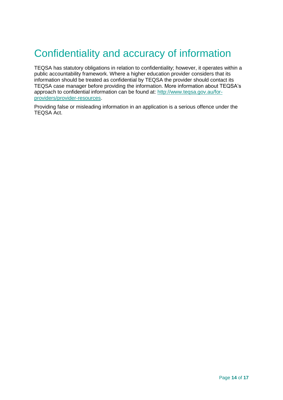### Confidentiality and accuracy of information

TEQSA has statutory obligations in relation to confidentiality; however, it operates within a public accountability framework. Where a higher education provider considers that its information should be treated as confidential by TEQSA the provider should contact its TEQSA case manager before providing the information. More information about TEQSA's approach to confidential information can be found at: [http://www.teqsa.gov.au/for](http://www.teqsa.gov.au/for-providers/provider-resources)[providers/provider-resources.](http://www.teqsa.gov.au/for-providers/provider-resources)

Providing false or misleading information in an application is a serious offence under the TEQSA Act.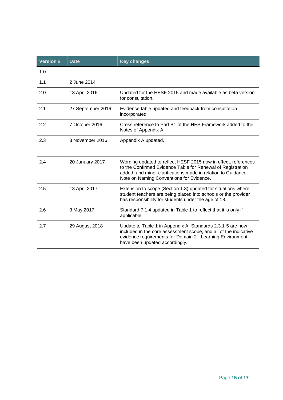| <b>Version#</b> | <b>Key changes</b><br><b>Date</b> |                                                                                                                                                                                                                                           |
|-----------------|-----------------------------------|-------------------------------------------------------------------------------------------------------------------------------------------------------------------------------------------------------------------------------------------|
| 1.0             |                                   |                                                                                                                                                                                                                                           |
| 1.1             | 2 June 2014                       |                                                                                                                                                                                                                                           |
| 2.0             | 13 April 2016                     | Updated for the HESF 2015 and made available as beta version<br>for consultation.                                                                                                                                                         |
| 2.1             | 27 September 2016                 | Evidence table updated and feedback from consultation<br>incorporated.                                                                                                                                                                    |
| 2.2             | 7 October 2016                    | Cross reference to Part B1 of the HES Framework added to the<br>Notes of Appendix A.                                                                                                                                                      |
| 2.3             | 3 November 2016                   | Appendix A updated.                                                                                                                                                                                                                       |
| 2.4             | 20 January 2017                   | Wording updated to reflect HESF 2015 now in effect, references<br>to the Confirmed Evidence Table for Renewal of Registration<br>added, and minor clarifications made in relation to Guidance<br>Note on Naming Conventions for Evidence. |
| 2.5             | 18 April 2017                     | Extension to scope (Section 1.3) updated for situations where<br>student teachers are being placed into schools or the provider<br>has responsibility for students under the age of 18.                                                   |
| 2.6             | 3 May 2017                        | Standard 7.1.4 updated in Table 1 to reflect that it is only if<br>applicable.                                                                                                                                                            |
| 2.7             | 29 August 2018                    | Update to Table 1 in Appendix A; Standards 2.3.1-5 are now<br>included in the core assessment scope, and all of the indicative<br>evidence requirements for Domain 2 - Learning Environment<br>have been updated accordingly.             |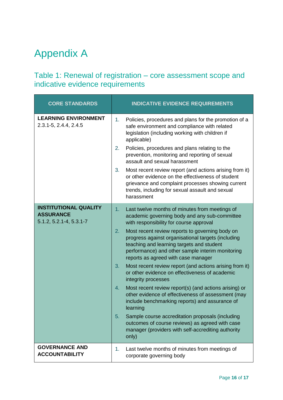### <span id="page-15-0"></span>Appendix A

#### <span id="page-15-1"></span>Table 1: Renewal of registration – core assessment scope and indicative evidence requirements

| <b>CORE STANDARDS</b>                                                             | <b>INDICATIVE EVIDENCE REQUIREMENTS</b>                                                                                                                                                                                                                                                                                                                                                                                                                                                                                                                                                                                                                                                                                                                                                                                                                                                                          |
|-----------------------------------------------------------------------------------|------------------------------------------------------------------------------------------------------------------------------------------------------------------------------------------------------------------------------------------------------------------------------------------------------------------------------------------------------------------------------------------------------------------------------------------------------------------------------------------------------------------------------------------------------------------------------------------------------------------------------------------------------------------------------------------------------------------------------------------------------------------------------------------------------------------------------------------------------------------------------------------------------------------|
| <b>LEARNING ENVIRONMENT</b><br>2.3.1-5, 2.4.4, 2.4.5                              | Policies, procedures and plans for the promotion of a<br>1 <sub>1</sub><br>safe environment and compliance with related<br>legislation (including working with children if<br>applicable)<br>2.<br>Policies, procedures and plans relating to the<br>prevention, monitoring and reporting of sexual<br>assault and sexual harassment<br>Most recent review report (and actions arising from it)<br>3.<br>or other evidence on the effectiveness of student<br>grievance and complaint processes showing current<br>trends, including for sexual assault and sexual<br>harassment                                                                                                                                                                                                                                                                                                                                 |
| <b>INSTITUTIONAL QUALITY</b><br><b>ASSURANCE</b><br>$5.1.2, 5.2.1 - 4, 5.3.1 - 7$ | Last twelve months of minutes from meetings of<br>1.<br>academic governing body and any sub-committee<br>with responsibility for course approval<br>2.<br>Most recent review reports to governing body on<br>progress against organisational targets (including<br>teaching and learning targets and student<br>performance) and other sample interim monitoring<br>reports as agreed with case manager<br>Most recent review report (and actions arising from it)<br>3.<br>or other evidence on effectiveness of academic<br>integrity processes<br>Most recent review report(s) (and actions arising) or<br>4.<br>other evidence of effectiveness of assessment (may<br>include benchmarking reports) and assurance of<br>learning<br>5.<br>Sample course accreditation proposals (including<br>outcomes of course reviews) as agreed with case<br>manager (providers with self-accrediting authority<br>only) |
| <b>GOVERNANCE AND</b><br><b>ACCOUNTABILITY</b>                                    | Last twelve months of minutes from meetings of<br>1.<br>corporate governing body                                                                                                                                                                                                                                                                                                                                                                                                                                                                                                                                                                                                                                                                                                                                                                                                                                 |